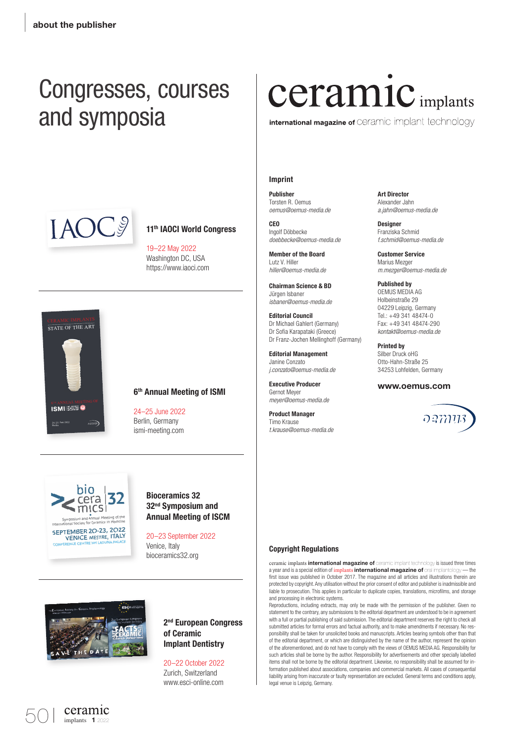### Congresses, courses and symposia



#### 11<sup>th</sup> IAOCI World Congress

19–22 May 2022 Washington DC, USA https://www.iaoci.com



#### 6th Annual Meeting of ISMI

24–25 June 2022 Berlin, Germany ismi-meeting.com



Bioceramics 32 32nd Symposium and Annual Meeting of ISCM

20–23 September 2022 Venice, Italy bioceramics32.org



ceramic

#### 2<sup>nd</sup> European Congress of Ceramic Implant Dentistry

20–22 October 2022 Zurich, Switzerland www.esci-online.com

### **Ceramic** implants

international magazine of Ceramic implant technology

#### Imprint

 Publisher Torsten R. Oemus *oemus@oemus-media.de*

CEO Ingolf Döbbecke *doebbecke@oemus-media.de*

Member of the Board Lutz V. Hiller *hiller@oemus-media.de*

Chairman Science & BD Jürgen Isbaner *isbaner@oemus-media.de*

Editorial Council Dr Michael Gahlert (Germany) Dr Sofia Karapataki (Greece) Dr Franz-Jochen Mellinghoff (Germany)

Editorial Management Janine Conzato *j.conzato@oemus-media.de*

Executive Producer Gernot Meyer *meyer@oemus-media.de*

Product Manager Timo Krause *t.krause@oemus-media.de* Art Director Alexander Jahn *a.jahn@oemus-media.de*

**Designer** Franziska Schmid *f.schmid@oemus-media.de*

Customer Service Marius Mezger *m.mezger@oemus-media.de*

Published by OEMUS MEDIA AG Holbeinstraße 29 04229 Leipzig, Germany Tel.: +49 341 48474-0 Fax: +49 341 48474-290 *kontakt@oemus-media.de*

Printed by Silber Druck oHG Otto-Hahn-Straße 25 34253 Lohfelden, Germany

#### www.oemus.com



#### **Copyright Regulations**

ceramic implants **international magazine of** ceramic implant technology is issued three times a year and is a special edition of implants **international magazine of** oral implantology — the first issue was published in October 2017. The magazine and all articles and illustrations therein are protected by copyright. Any utilisation without the prior consent of editor and publisher is inadmissible and liable to prosecution. This applies in particular to duplicate copies, translations, microfilms, and storage and processing in electronic systems.

Reproductions, including extracts, may only be made with the permission of the publisher. Given no statement to the contrary, any submissions to the editorial department are understood to be in agreement with a full or partial publishing of said submission. The editorial department reserves the right to check all submitted articles for formal errors and factual authority, and to make amendments if necessary. No responsibility shall be taken for unsolicited books and manuscripts. Articles bearing symbols other than that of the editorial department, or which are distinguished by the name of the author, represent the opinion of the aforementioned, and do not have to comply with the views of OEMUS MEDIA AG. Responsibility for such articles shall be borne by the author. Responsibility for advertisements and other specially labelled items shall not be borne by the editorial department. Likewise, no responsibility shall be assumed for information published about associations, companies and commercial markets. All cases of consequential liability arising from inaccurate or faulty representation are excluded. General terms and conditions apply, legal venue is Leipzig, Germany.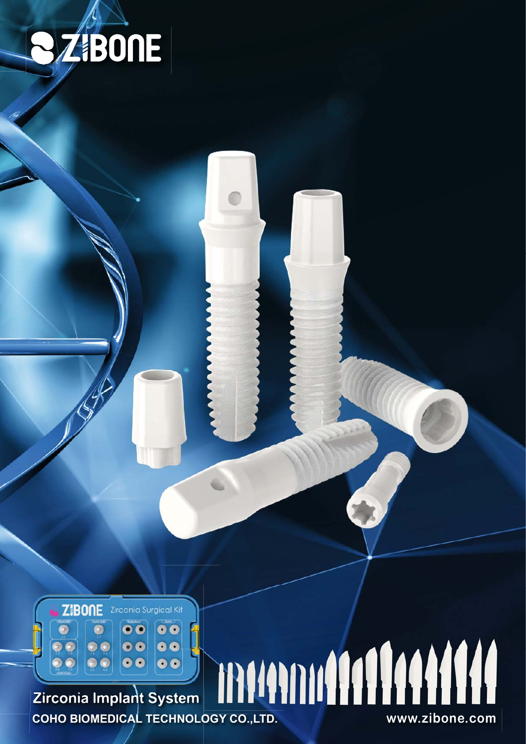



## **COLOGICO COLOGICO COHO BIOMEDICAL TECHNOLOGY CO.,LTD.** Zirconia Implant System